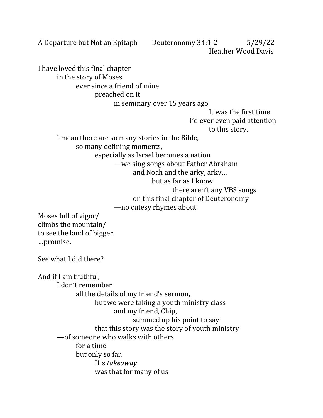A Departure but Not an Epitaph Deuteronomy 34:1-2 5/29/22 Heather Wood Davis

in the story of Moses ever since a friend of mine preached on it

I have loved this final chapter

in seminary over 15 years ago.

It was the first time I'd ever even paid attention

to this story.

I mean there are so many stories in the Bible,

so many defining moments,

especially as Israel becomes a nation

—we sing songs about Father Abraham

and Noah and the arky, arky…

- but as far as I know
- there aren't any VBS songs
- on this final chapter of Deuteronomy

## —no cutesy rhymes about

Moses full of vigor/ climbs the mountain/ to see the land of bigger …promise.

See what I did there?

And if I am truthful, I don't remember all the details of my friend's sermon, but we were taking a youth ministry class and my friend, Chip, summed up his point to say that this story was the story of youth ministry —of someone who walks with others for a time but only so far. His *takeaway* was that for many of us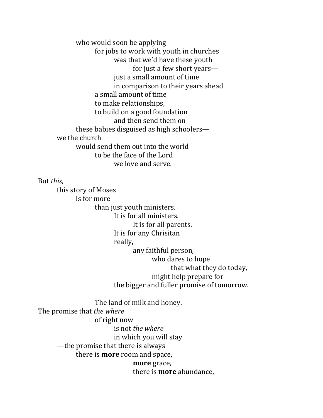who would soon be applying for jobs to work with youth in churches was that we'd have these youth for just a few short years just a small amount of time in comparison to their years ahead a small amount of time to make relationships, to build on a good foundation and then send them on these babies disguised as high schoolers we the church would send them out into the world to be the face of the Lord we love and serve.

## But *this*,

this story of Moses is for more than just youth ministers. It is for all ministers. It is for all parents. It is for any Chrisitan really, any faithful person, who dares to hope that what they do today, might help prepare for the bigger and fuller promise of tomorrow. The land of milk and honey. The promise that *the where* of right now is not *the where* in which you will stay

—the promise that there is always

there is **more** room and space,

**more** grace,

there is **more** abundance,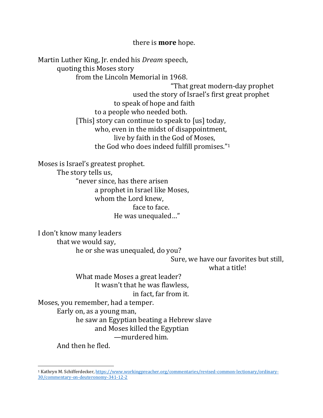there is **more** hope.

Martin Luther King, Jr. ended his *Dream* speech, quoting this Moses story from the Lincoln Memorial in 1968. "That great modern-day prophet used the story of Israel's first great prophet to speak of hope and faith to a people who needed both. [This] story can continue to speak to [us] today, who, even in the midst of disappointment, live by faith in the God of Moses, the God who does indeed fulfill promises."<sup>1</sup> Moses is Israel's greatest prophet. The story tells us, "never since, has there arisen a prophet in Israel like Moses, whom the Lord knew, face to face. He was unequaled…" I don't know many leaders that we would say, he or she was unequaled, do you? Sure, we have our favorites but still, what a title! What made Moses a great leader? It wasn't that he was flawless, in fact, far from it. Moses, you remember, had a temper. Early on, as a young man, he saw an Egyptian beating a Hebrew slave and Moses killed the Egyptian

—murdered him. And then he fled.

<sup>1</sup> Kathryn M. Schifferdecker[, https://www.workingpreacher.org/commentaries/revised-common-lectionary/ordinary-](https://www.workingpreacher.org/commentaries/revised-common-lectionary/ordinary-30/commentary-on-deuteronomy-341-12-2)[30/commentary-on-deuteronomy-341-12-2](https://www.workingpreacher.org/commentaries/revised-common-lectionary/ordinary-30/commentary-on-deuteronomy-341-12-2)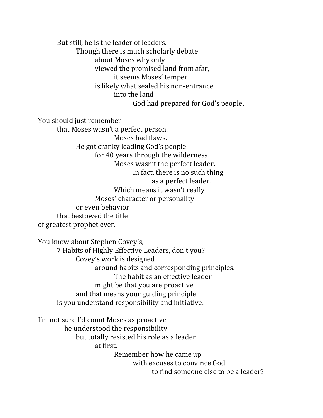But still, he is the leader of leaders. Though there is much scholarly debate about Moses why only viewed the promised land from afar, it seems Moses' temper is likely what sealed his non-entrance into the land God had prepared for God's people.

You should just remember

that Moses wasn't a perfect person. Moses had flaws. He got cranky leading God's people for 40 years through the wilderness. Moses wasn't the perfect leader. In fact, there is no such thing as a perfect leader. Which means it wasn't really Moses' character or personality or even behavior that bestowed the title of greatest prophet ever.

You know about Stephen Covey's, 7 Habits of Highly Effective Leaders, don't you? Covey's work is designed around habits and corresponding principles. The habit as an effective leader might be that you are proactive and that means your guiding principle is you understand responsibility and initiative.

I'm not sure I'd count Moses as proactive —he understood the responsibility but totally resisted his role as a leader at first. Remember how he came up with excuses to convince God to find someone else to be a leader?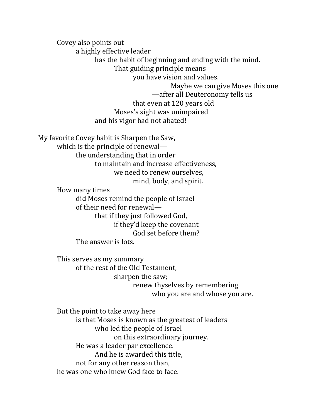Covey also points out a highly effective leader has the habit of beginning and ending with the mind. That guiding principle means you have vision and values. Maybe we can give Moses this one —after all Deuteronomy tells us that even at 120 years old Moses's sight was unimpaired and his vigor had not abated!

My favorite Covey habit is Sharpen the Saw, which is the principle of renewal the understanding that in order to maintain and increase effectiveness, we need to renew ourselves, mind, body, and spirit. How many times did Moses remind the people of Israel of their need for renewal that if they just followed God,

> if they'd keep the covenant God set before them?

The answer is lots.

This serves as my summary of the rest of the Old Testament, sharpen the saw; renew thyselves by remembering who you are and whose you are.

But the point to take away here is that Moses is known as the greatest of leaders who led the people of Israel on this extraordinary journey. He was a leader par excellence. And he is awarded this title, not for any other reason than, he was one who knew God face to face.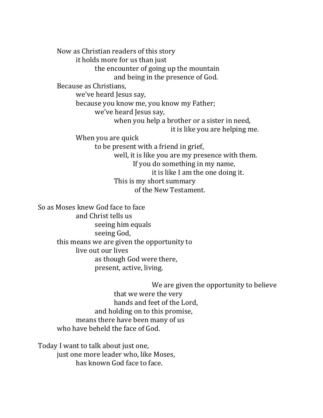Now as Christian readers of this story it holds more for us than just the encounter of going up the mountain and being in the presence of God. Because as Christians, we've heard Jesus say, because you know me, you know my Father; we've heard Jesus say, when you help a brother or a sister in need, it is like you are helping me. When you are quick to be present with a friend in grief, well, it is like you are my presence with them. If you do something in my name, it is like I am the one doing it. This is my short summary of the New Testament.

So as Moses knew God face to face and Christ tells us seeing him equals seeing God, this means we are given the opportunity to live out our lives as though God were there, present, active, living.

> We are given the opportunity to believe that we were the very hands and feet of the Lord, and holding on to this promise, means there have been many of us who have beheld the face of God.

Today I want to talk about just one, just one more leader who, like Moses, has known God face to face.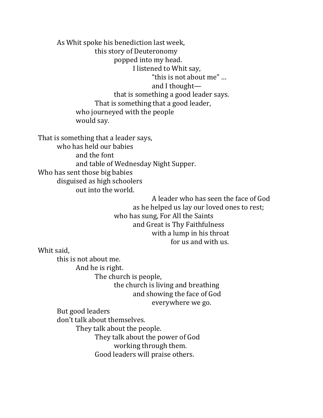As Whit spoke his benediction last week, this story of Deuteronomy popped into my head. I listened to Whit say, "this is not about me" … and I thought that is something a good leader says. That is something that a good leader, who journeyed with the people would say.

That is something that a leader says, who has held our babies and the font and table of Wednesday Night Supper. Who has sent those big babies disguised as high schoolers out into the world.

A leader who has seen the face of God as he helped us lay our loved ones to rest; who has sung, For All the Saints and Great is Thy Faithfulness with a lump in his throat for us and with us.

Whit said,

this is not about me. And he is right. The church is people, the church is living and breathing and showing the face of God everywhere we go. But good leaders don't talk about themselves. They talk about the people. They talk about the power of God working through them. Good leaders will praise others.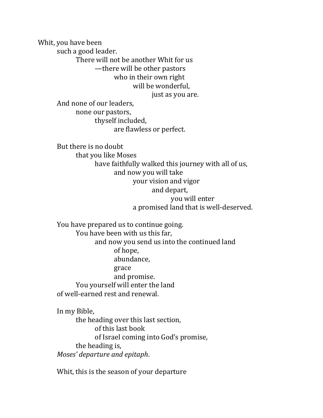Whit, you have been such a good leader. There will not be another Whit for us —there will be other pastors who in their own right will be wonderful, just as you are. And none of our leaders,

none our pastors, thyself included, are flawless or perfect.

But there is no doubt that you like Moses have faithfully walked this journey with all of us, and now you will take your vision and vigor and depart, you will enter a promised land that is well-deserved.

You have prepared us to continue going. You have been with us this far, and now you send us into the continued land of hope, abundance, grace and promise. You yourself will enter the land of well-earned rest and renewal.

In my Bible, the heading over this last section, of this last book of Israel coming into God's promise, the heading is, *Moses' departure and epitaph*.

Whit, this is the season of your departure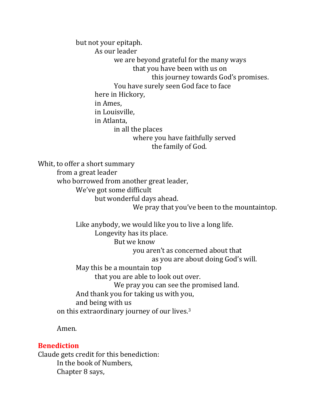but not your epitaph. As our leader we are beyond grateful for the many ways that you have been with us on this journey towards God's promises. You have surely seen God face to face here in Hickory, in Ames, in Louisville, in Atlanta, in all the places where you have faithfully served the family of God.

Whit, to offer a short summary from a great leader who borrowed from another great leader, We've got some difficult but wonderful days ahead. We pray that you've been to the mountaintop.

Like anybody, we would like you to live a long life. Longevity has its place. But we know you aren't as concerned about that as you are about doing God's will. May this be a mountain top that you are able to look out over. We pray you can see the promised land. And thank you for taking us with you, and being with us on this extraordinary journey of our lives.<sup>3</sup>

Amen.

## **Benediction**

Claude gets credit for this benediction: In the book of Numbers, Chapter 8 says,